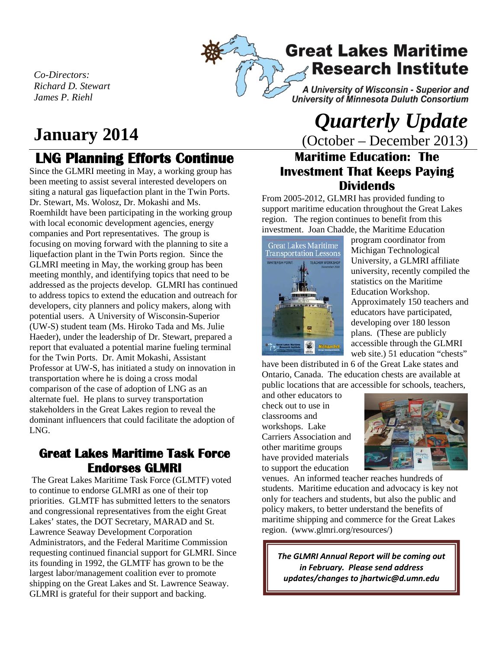

# **Great Lakes Maritime Research Institute**

A University of Wisconsin - Superior and University of Minnesota Duluth Consortium

*Co-Directors: Richard D. Stewart James P. Riehl*

# **LNG Planning Efforts Continue**

Since the GLMRI meeting in May, a working group has been meeting to assist several interested developers on siting a natural gas liquefaction plant in the Twin Ports. Dr. Stewart, Ms. Wolosz, Dr. Mokashi and Ms. Roemhildt have been participating in the working group with local economic development agencies, energy companies and Port representatives. The group is focusing on moving forward with the planning to site a liquefaction plant in the Twin Ports region. Since the GLMRI meeting in May, the working group has been meeting monthly, and identifying topics that need to be addressed as the projects develop. GLMRI has continued to address topics to extend the education and outreach for developers, city planners and policy makers, along with potential users. A University of Wisconsin-Superior (UW-S) student team (Ms. Hiroko Tada and Ms. Julie Haeder), under the leadership of Dr. Stewart, prepared a report that evaluated a potential marine fueling terminal for the Twin Ports. Dr. Amit Mokashi, Assistant Professor at UW-S, has initiated a study on innovation in transportation where he is doing a cross modal comparison of the case of adoption of LNG as an alternate fuel. He plans to survey transportation stakeholders in the Great Lakes region to reveal the dominant influencers that could facilitate the adoption of LNG.

## **Great Lakes Maritime Task Force Endorses GLMRI**

The Great Lakes Maritime Task Force (GLMTF) voted to continue to endorse GLMRI as one of their top priorities. GLMTF has submitted letters to the senators and congressional representatives from the eight Great Lakes' states, the DOT Secretary, MARAD and St. Lawrence Seaway Development Corporation Administrators, and the Federal Maritime Commission requesting continued financial support for GLMRI. Since its founding in 1992, the GLMTF has grown to be the largest labor/management coalition ever to promote shipping on the Great Lakes and St. Lawrence Seaway. GLMRI is grateful for their support and backing.

# *January 2014 Quarterly Update* **<b>***Quarterly Update*  $\frac{0}{\text{Cotober - December 2013}}$ (October – December 2013)

## **Maritime Education: The Investment That Keeps Paying Dividends**

From 2005-2012, GLMRI has provided funding to support maritime education throughout the Great Lakes region. The region continues to benefit from this investment. Joan Chadde, the Maritime Education



program coordinator from Michigan Technological University, a GLMRI affiliate university, recently compiled the statistics on the Maritime Education Workshop. Approximately 150 teachers and educators have participated, developing over 180 lesson plans. (These are publicly accessible through the GLMRI web site.) 51 education "chests"

have been distributed in 6 of the Great Lake states and Ontario, Canada. The education chests are available at public locations that are accessible for schools, teachers,

and other educators to check out to use in classrooms and workshops. Lake Carriers Association and other maritime groups have provided materials to support the education



venues. An informed teacher reaches hundreds of students. Maritime education and advocacy is key not only for teachers and students, but also the public and policy makers, to better understand the benefits of maritime shipping and commerce for the Great Lakes region. (www.glmri.org/resources/)

*The GLMRI Annual Report will be coming out in February. Please send address updates/changes to jhartwic@d.umn.edu*